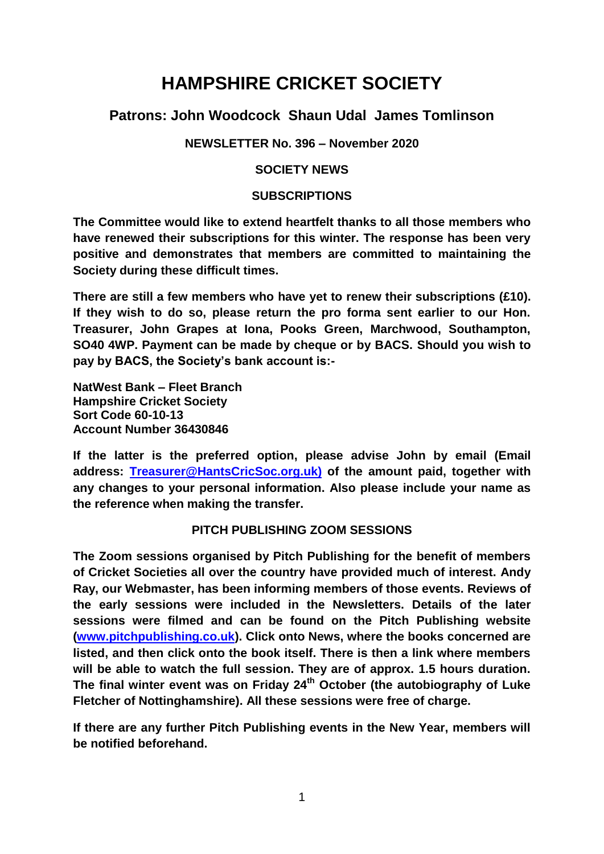# **HAMPSHIRE CRICKET SOCIETY**

## **Patrons: John Woodcock Shaun Udal James Tomlinson**

### **NEWSLETTER No. 396 – November 2020**

#### **SOCIETY NEWS**

#### **SUBSCRIPTIONS**

**The Committee would like to extend heartfelt thanks to all those members who have renewed their subscriptions for this winter. The response has been very positive and demonstrates that members are committed to maintaining the Society during these difficult times.**

**There are still a few members who have yet to renew their subscriptions (£10). If they wish to do so, please return the pro forma sent earlier to our Hon. Treasurer, John Grapes at Iona, Pooks Green, Marchwood, Southampton, SO40 4WP. Payment can be made by cheque or by BACS. Should you wish to pay by BACS, the Society's bank account is:-**

**NatWest Bank – Fleet Branch Hampshire Cricket Society Sort Code 60-10-13 Account Number 36430846**

**If the latter is the preferred option, please advise John by email (Email address: [Treasurer@HantsCricSoc.org.uk\)](mailto:Treasurer@HantsCricSoc.org.uk)) of the amount paid, together with any changes to your personal information. Also please include your name as the reference when making the transfer.**

### **PITCH PUBLISHING ZOOM SESSIONS**

**The Zoom sessions organised by Pitch Publishing for the benefit of members of Cricket Societies all over the country have provided much of interest. Andy Ray, our Webmaster, has been informing members of those events. Reviews of the early sessions were included in the Newsletters. Details of the later sessions were filmed and can be found on the Pitch Publishing website [\(www.pitchpublishing.co.uk\)](http://www.pitchpublishing.co.uk/). Click onto News, where the books concerned are listed, and then click onto the book itself. There is then a link where members will be able to watch the full session. They are of approx. 1.5 hours duration. The final winter event was on Friday 24th October (the autobiography of Luke Fletcher of Nottinghamshire). All these sessions were free of charge.** 

**If there are any further Pitch Publishing events in the New Year, members will be notified beforehand.**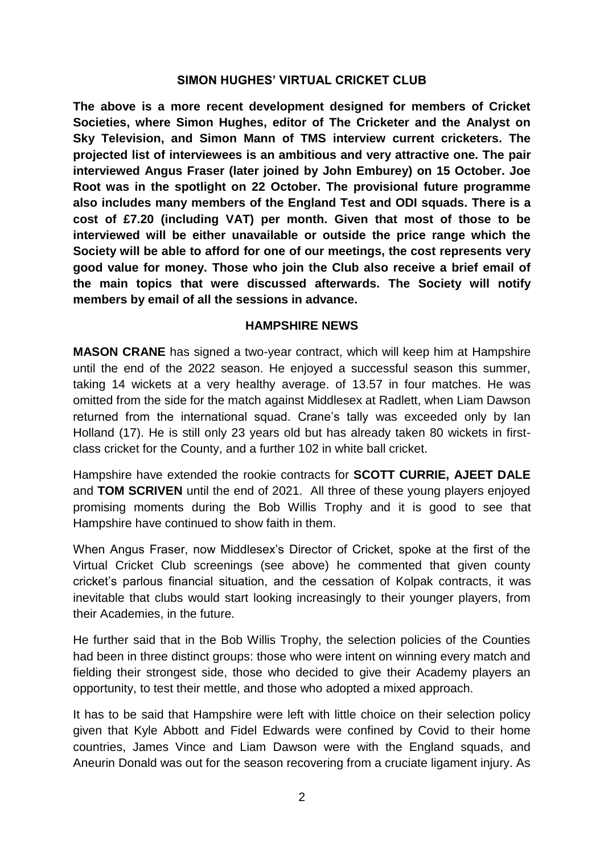#### **SIMON HUGHES' VIRTUAL CRICKET CLUB**

**The above is a more recent development designed for members of Cricket Societies, where Simon Hughes, editor of The Cricketer and the Analyst on Sky Television, and Simon Mann of TMS interview current cricketers. The projected list of interviewees is an ambitious and very attractive one. The pair interviewed Angus Fraser (later joined by John Emburey) on 15 October. Joe Root was in the spotlight on 22 October. The provisional future programme also includes many members of the England Test and ODI squads. There is a cost of £7.20 (including VAT) per month. Given that most of those to be interviewed will be either unavailable or outside the price range which the Society will be able to afford for one of our meetings, the cost represents very good value for money. Those who join the Club also receive a brief email of the main topics that were discussed afterwards. The Society will notify members by email of all the sessions in advance.**

#### **HAMPSHIRE NEWS**

**MASON CRANE** has signed a two-year contract, which will keep him at Hampshire until the end of the 2022 season. He enjoyed a successful season this summer, taking 14 wickets at a very healthy average. of 13.57 in four matches. He was omitted from the side for the match against Middlesex at Radlett, when Liam Dawson returned from the international squad. Crane's tally was exceeded only by Ian Holland (17). He is still only 23 years old but has already taken 80 wickets in firstclass cricket for the County, and a further 102 in white ball cricket.

Hampshire have extended the rookie contracts for **SCOTT CURRIE, AJEET DALE**  and **TOM SCRIVEN** until the end of 2021. All three of these young players enjoyed promising moments during the Bob Willis Trophy and it is good to see that Hampshire have continued to show faith in them.

When Angus Fraser, now Middlesex's Director of Cricket, spoke at the first of the Virtual Cricket Club screenings (see above) he commented that given county cricket's parlous financial situation, and the cessation of Kolpak contracts, it was inevitable that clubs would start looking increasingly to their younger players, from their Academies, in the future.

He further said that in the Bob Willis Trophy, the selection policies of the Counties had been in three distinct groups: those who were intent on winning every match and fielding their strongest side, those who decided to give their Academy players an opportunity, to test their mettle, and those who adopted a mixed approach.

It has to be said that Hampshire were left with little choice on their selection policy given that Kyle Abbott and Fidel Edwards were confined by Covid to their home countries, James Vince and Liam Dawson were with the England squads, and Aneurin Donald was out for the season recovering from a cruciate ligament injury. As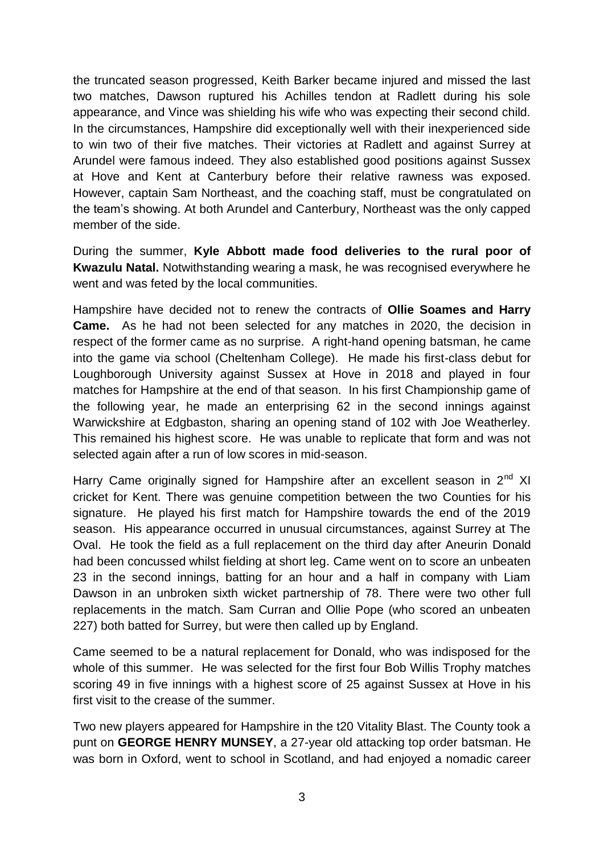the truncated season progressed, Keith Barker became injured and missed the last two matches, Dawson ruptured his Achilles tendon at Radlett during his sole appearance, and Vince was shielding his wife who was expecting their second child. In the circumstances, Hampshire did exceptionally well with their inexperienced side to win two of their five matches. Their victories at Radlett and against Surrey at Arundel were famous indeed. They also established good positions against Sussex at Hove and Kent at Canterbury before their relative rawness was exposed. However, captain Sam Northeast, and the coaching staff, must be congratulated on the team's showing. At both Arundel and Canterbury, Northeast was the only capped member of the side.

During the summer, **Kyle Abbott made food deliveries to the rural poor of Kwazulu Natal.** Notwithstanding wearing a mask, he was recognised everywhere he went and was feted by the local communities.

Hampshire have decided not to renew the contracts of **Ollie Soames and Harry Came.** As he had not been selected for any matches in 2020, the decision in respect of the former came as no surprise. A right-hand opening batsman, he came into the game via school (Cheltenham College). He made his first-class debut for Loughborough University against Sussex at Hove in 2018 and played in four matches for Hampshire at the end of that season. In his first Championship game of the following year, he made an enterprising 62 in the second innings against Warwickshire at Edgbaston, sharing an opening stand of 102 with Joe Weatherley. This remained his highest score. He was unable to replicate that form and was not selected again after a run of low scores in mid-season.

Harry Came originally signed for Hampshire after an excellent season in  $2<sup>nd</sup>$  XI cricket for Kent. There was genuine competition between the two Counties for his signature. He played his first match for Hampshire towards the end of the 2019 season. His appearance occurred in unusual circumstances, against Surrey at The Oval. He took the field as a full replacement on the third day after Aneurin Donald had been concussed whilst fielding at short leg. Came went on to score an unbeaten 23 in the second innings, batting for an hour and a half in company with Liam Dawson in an unbroken sixth wicket partnership of 78. There were two other full replacements in the match. Sam Curran and Ollie Pope (who scored an unbeaten 227) both batted for Surrey, but were then called up by England.

Came seemed to be a natural replacement for Donald, who was indisposed for the whole of this summer. He was selected for the first four Bob Willis Trophy matches scoring 49 in five innings with a highest score of 25 against Sussex at Hove in his first visit to the crease of the summer.

Two new players appeared for Hampshire in the t20 Vitality Blast. The County took a punt on **GEORGE HENRY MUNSEY**, a 27-year old attacking top order batsman. He was born in Oxford, went to school in Scotland, and had enjoyed a nomadic career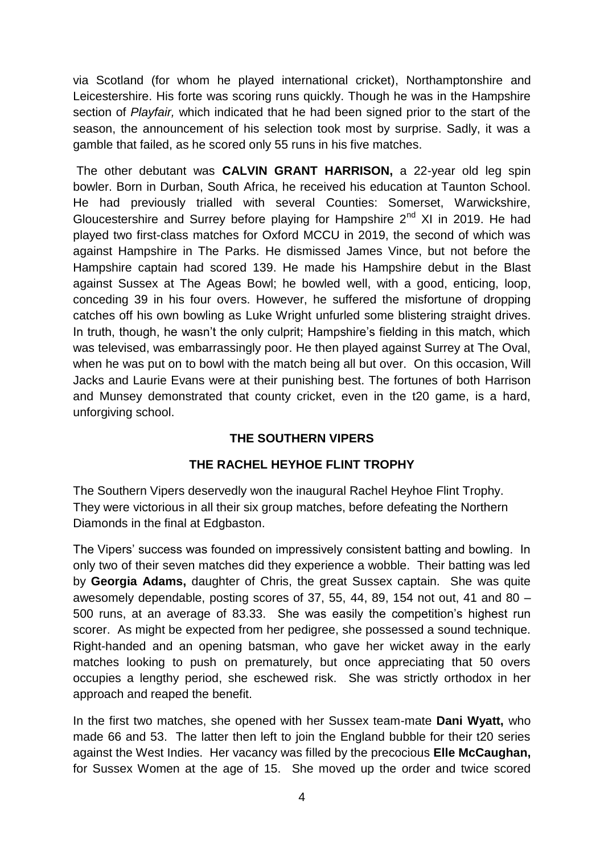via Scotland (for whom he played international cricket), Northamptonshire and Leicestershire. His forte was scoring runs quickly. Though he was in the Hampshire section of *Playfair,* which indicated that he had been signed prior to the start of the season, the announcement of his selection took most by surprise. Sadly, it was a gamble that failed, as he scored only 55 runs in his five matches.

The other debutant was **CALVIN GRANT HARRISON,** a 22-year old leg spin bowler. Born in Durban, South Africa, he received his education at Taunton School. He had previously trialled with several Counties: Somerset, Warwickshire, Gloucestershire and Surrey before playing for Hampshire 2<sup>nd</sup> XI in 2019. He had played two first-class matches for Oxford MCCU in 2019, the second of which was against Hampshire in The Parks. He dismissed James Vince, but not before the Hampshire captain had scored 139. He made his Hampshire debut in the Blast against Sussex at The Ageas Bowl; he bowled well, with a good, enticing, loop, conceding 39 in his four overs. However, he suffered the misfortune of dropping catches off his own bowling as Luke Wright unfurled some blistering straight drives. In truth, though, he wasn't the only culprit; Hampshire's fielding in this match, which was televised, was embarrassingly poor. He then played against Surrey at The Oval, when he was put on to bowl with the match being all but over. On this occasion, Will Jacks and Laurie Evans were at their punishing best. The fortunes of both Harrison and Munsey demonstrated that county cricket, even in the t20 game, is a hard, unforgiving school.

### **THE SOUTHERN VIPERS**

### **THE RACHEL HEYHOE FLINT TROPHY**

The Southern Vipers deservedly won the inaugural Rachel Heyhoe Flint Trophy. They were victorious in all their six group matches, before defeating the Northern Diamonds in the final at Edgbaston.

The Vipers' success was founded on impressively consistent batting and bowling. In only two of their seven matches did they experience a wobble. Their batting was led by **Georgia Adams,** daughter of Chris, the great Sussex captain. She was quite awesomely dependable, posting scores of 37, 55, 44, 89, 154 not out, 41 and 80 – 500 runs, at an average of 83.33. She was easily the competition's highest run scorer. As might be expected from her pedigree, she possessed a sound technique. Right-handed and an opening batsman, who gave her wicket away in the early matches looking to push on prematurely, but once appreciating that 50 overs occupies a lengthy period, she eschewed risk. She was strictly orthodox in her approach and reaped the benefit.

In the first two matches, she opened with her Sussex team-mate **Dani Wyatt,** who made 66 and 53. The latter then left to join the England bubble for their t20 series against the West Indies. Her vacancy was filled by the precocious **Elle McCaughan,**  for Sussex Women at the age of 15. She moved up the order and twice scored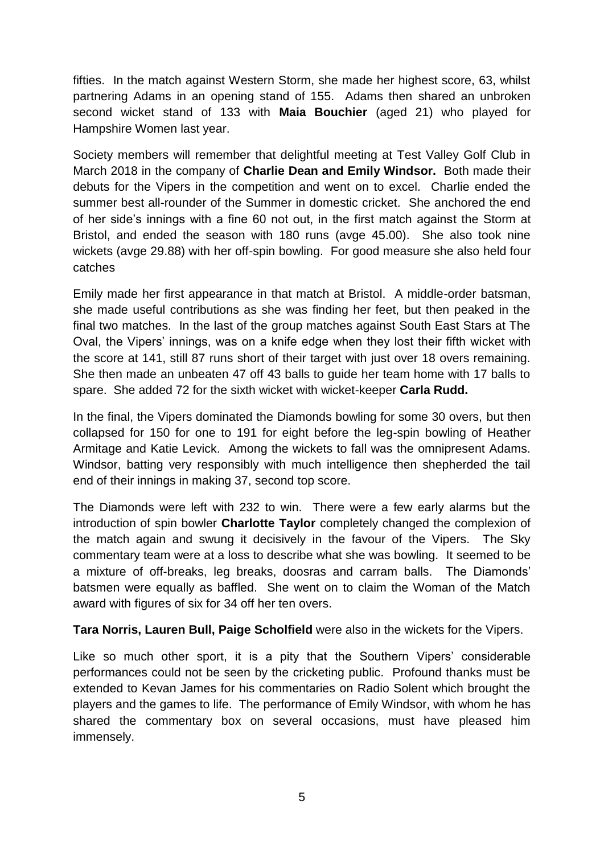fifties. In the match against Western Storm, she made her highest score, 63, whilst partnering Adams in an opening stand of 155. Adams then shared an unbroken second wicket stand of 133 with **Maia Bouchier** (aged 21) who played for Hampshire Women last year.

Society members will remember that delightful meeting at Test Valley Golf Club in March 2018 in the company of **Charlie Dean and Emily Windsor.** Both made their debuts for the Vipers in the competition and went on to excel. Charlie ended the summer best all-rounder of the Summer in domestic cricket. She anchored the end of her side's innings with a fine 60 not out, in the first match against the Storm at Bristol, and ended the season with 180 runs (avge 45.00). She also took nine wickets (avge 29.88) with her off-spin bowling. For good measure she also held four catches

Emily made her first appearance in that match at Bristol. A middle-order batsman, she made useful contributions as she was finding her feet, but then peaked in the final two matches. In the last of the group matches against South East Stars at The Oval, the Vipers' innings, was on a knife edge when they lost their fifth wicket with the score at 141, still 87 runs short of their target with just over 18 overs remaining. She then made an unbeaten 47 off 43 balls to guide her team home with 17 balls to spare. She added 72 for the sixth wicket with wicket-keeper **Carla Rudd.** 

In the final, the Vipers dominated the Diamonds bowling for some 30 overs, but then collapsed for 150 for one to 191 for eight before the leg-spin bowling of Heather Armitage and Katie Levick. Among the wickets to fall was the omnipresent Adams. Windsor, batting very responsibly with much intelligence then shepherded the tail end of their innings in making 37, second top score.

The Diamonds were left with 232 to win. There were a few early alarms but the introduction of spin bowler **Charlotte Taylor** completely changed the complexion of the match again and swung it decisively in the favour of the Vipers. The Sky commentary team were at a loss to describe what she was bowling. It seemed to be a mixture of off-breaks, leg breaks, doosras and carram balls. The Diamonds' batsmen were equally as baffled. She went on to claim the Woman of the Match award with figures of six for 34 off her ten overs.

**Tara Norris, Lauren Bull, Paige Scholfield** were also in the wickets for the Vipers.

Like so much other sport, it is a pity that the Southern Vipers' considerable performances could not be seen by the cricketing public. Profound thanks must be extended to Kevan James for his commentaries on Radio Solent which brought the players and the games to life. The performance of Emily Windsor, with whom he has shared the commentary box on several occasions, must have pleased him immensely.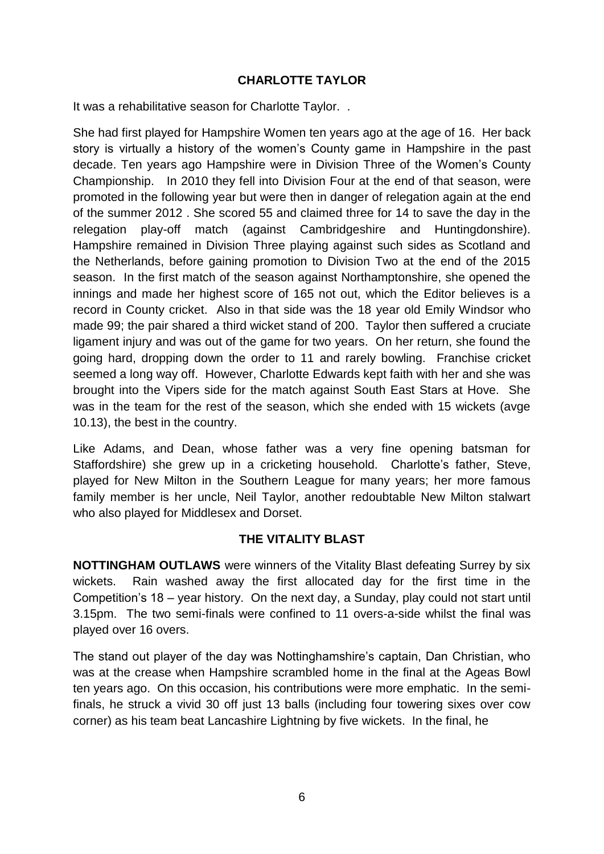#### **CHARLOTTE TAYLOR**

It was a rehabilitative season for Charlotte Taylor. .

She had first played for Hampshire Women ten years ago at the age of 16. Her back story is virtually a history of the women's County game in Hampshire in the past decade. Ten years ago Hampshire were in Division Three of the Women's County Championship. In 2010 they fell into Division Four at the end of that season, were promoted in the following year but were then in danger of relegation again at the end of the summer 2012 . She scored 55 and claimed three for 14 to save the day in the relegation play-off match (against Cambridgeshire and Huntingdonshire). Hampshire remained in Division Three playing against such sides as Scotland and the Netherlands, before gaining promotion to Division Two at the end of the 2015 season. In the first match of the season against Northamptonshire, she opened the innings and made her highest score of 165 not out, which the Editor believes is a record in County cricket. Also in that side was the 18 year old Emily Windsor who made 99; the pair shared a third wicket stand of 200. Taylor then suffered a cruciate ligament injury and was out of the game for two years. On her return, she found the going hard, dropping down the order to 11 and rarely bowling. Franchise cricket seemed a long way off. However, Charlotte Edwards kept faith with her and she was brought into the Vipers side for the match against South East Stars at Hove. She was in the team for the rest of the season, which she ended with 15 wickets (avge 10.13), the best in the country.

Like Adams, and Dean, whose father was a very fine opening batsman for Staffordshire) she grew up in a cricketing household. Charlotte's father, Steve, played for New Milton in the Southern League for many years; her more famous family member is her uncle, Neil Taylor, another redoubtable New Milton stalwart who also played for Middlesex and Dorset.

### **THE VITALITY BLAST**

**NOTTINGHAM OUTLAWS** were winners of the Vitality Blast defeating Surrey by six wickets. Rain washed away the first allocated day for the first time in the Competition's 18 – year history. On the next day, a Sunday, play could not start until 3.15pm. The two semi-finals were confined to 11 overs-a-side whilst the final was played over 16 overs.

The stand out player of the day was Nottinghamshire's captain, Dan Christian, who was at the crease when Hampshire scrambled home in the final at the Ageas Bowl ten years ago. On this occasion, his contributions were more emphatic. In the semifinals, he struck a vivid 30 off just 13 balls (including four towering sixes over cow corner) as his team beat Lancashire Lightning by five wickets. In the final, he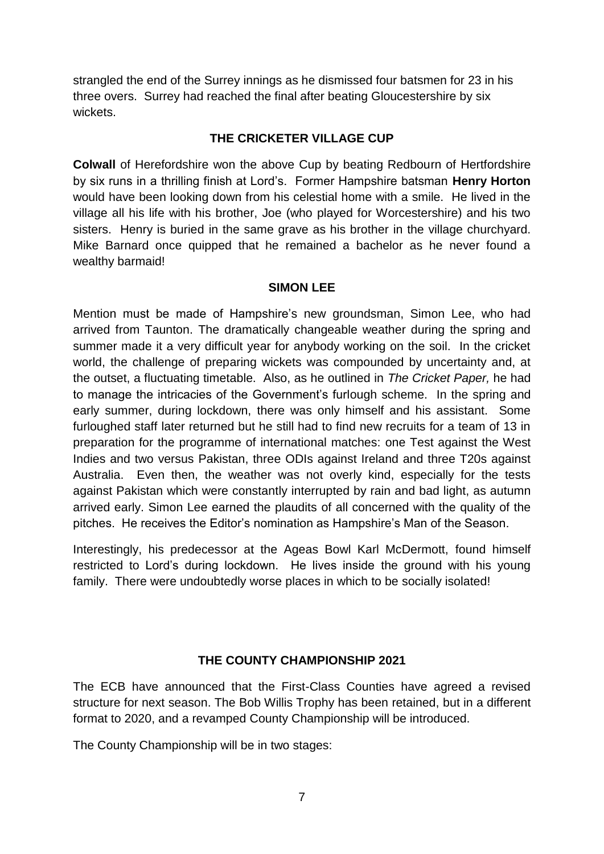strangled the end of the Surrey innings as he dismissed four batsmen for 23 in his three overs. Surrey had reached the final after beating Gloucestershire by six wickets.

#### **THE CRICKETER VILLAGE CUP**

**Colwall** of Herefordshire won the above Cup by beating Redbourn of Hertfordshire by six runs in a thrilling finish at Lord's. Former Hampshire batsman **Henry Horton**  would have been looking down from his celestial home with a smile. He lived in the village all his life with his brother, Joe (who played for Worcestershire) and his two sisters. Henry is buried in the same grave as his brother in the village churchyard. Mike Barnard once quipped that he remained a bachelor as he never found a wealthy barmaid!

#### **SIMON LEE**

Mention must be made of Hampshire's new groundsman, Simon Lee, who had arrived from Taunton. The dramatically changeable weather during the spring and summer made it a very difficult year for anybody working on the soil. In the cricket world, the challenge of preparing wickets was compounded by uncertainty and, at the outset, a fluctuating timetable. Also, as he outlined in *The Cricket Paper,* he had to manage the intricacies of the Government's furlough scheme. In the spring and early summer, during lockdown, there was only himself and his assistant. Some furloughed staff later returned but he still had to find new recruits for a team of 13 in preparation for the programme of international matches: one Test against the West Indies and two versus Pakistan, three ODIs against Ireland and three T20s against Australia. Even then, the weather was not overly kind, especially for the tests against Pakistan which were constantly interrupted by rain and bad light, as autumn arrived early. Simon Lee earned the plaudits of all concerned with the quality of the pitches. He receives the Editor's nomination as Hampshire's Man of the Season.

Interestingly, his predecessor at the Ageas Bowl Karl McDermott, found himself restricted to Lord's during lockdown. He lives inside the ground with his young family. There were undoubtedly worse places in which to be socially isolated!

### **THE COUNTY CHAMPIONSHIP 2021**

The ECB have announced that the First-Class Counties have agreed a revised structure for next season. The Bob Willis Trophy has been retained, but in a different format to 2020, and a revamped County Championship will be introduced.

The County Championship will be in two stages: